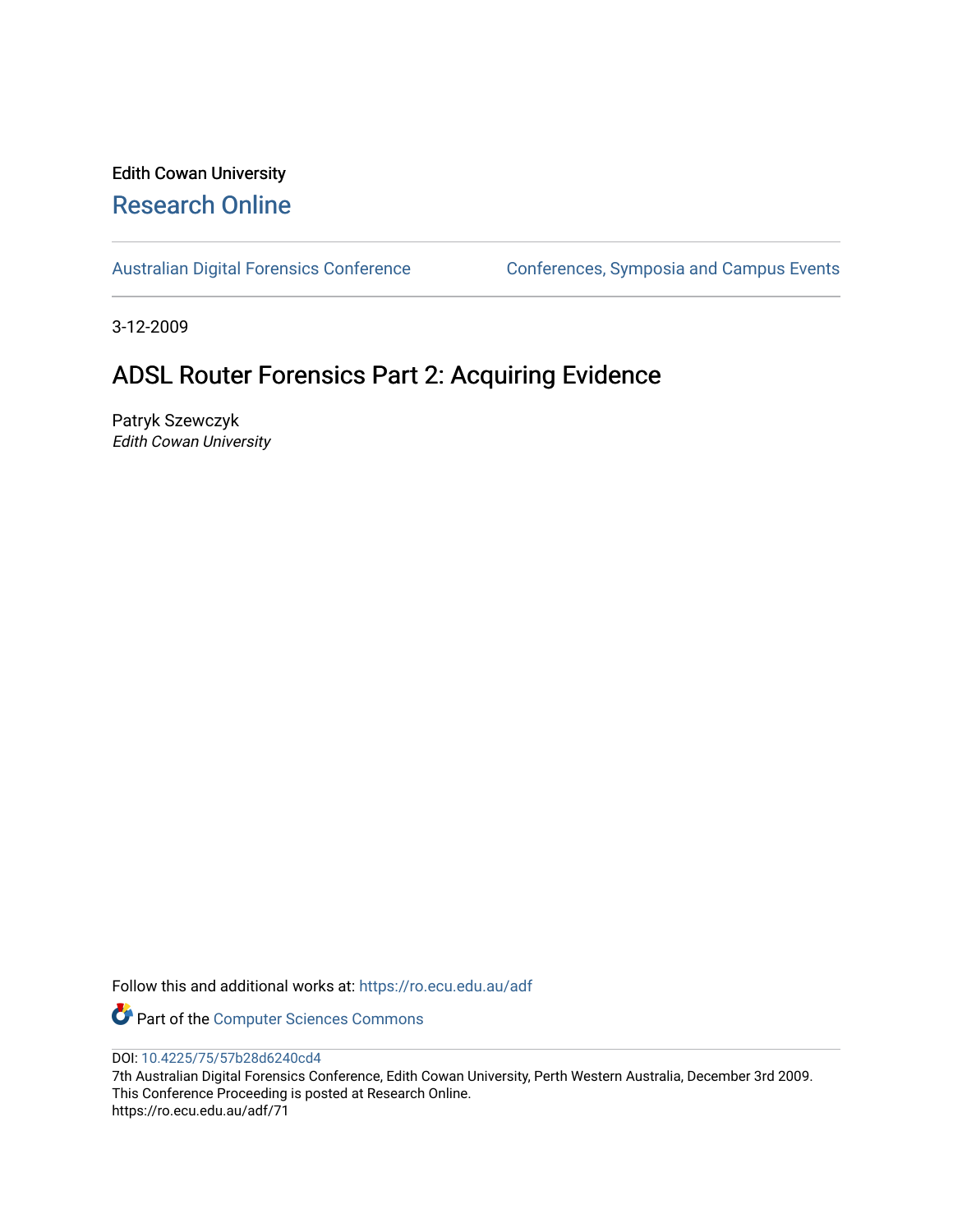# Edith Cowan University [Research Online](https://ro.ecu.edu.au/)

[Australian Digital Forensics Conference](https://ro.ecu.edu.au/adf) Conferences, Symposia and Campus Events

3-12-2009

# ADSL Router Forensics Part 2: Acquiring Evidence

Patryk Szewczyk Edith Cowan University

Follow this and additional works at: [https://ro.ecu.edu.au/adf](https://ro.ecu.edu.au/adf?utm_source=ro.ecu.edu.au%2Fadf%2F71&utm_medium=PDF&utm_campaign=PDFCoverPages)

Part of the [Computer Sciences Commons](http://network.bepress.com/hgg/discipline/142?utm_source=ro.ecu.edu.au%2Fadf%2F71&utm_medium=PDF&utm_campaign=PDFCoverPages)

DOI: [10.4225/75/57b28d6240cd4](https://doi.org/10.4225/75/57b28d6240cd4) 

7th Australian Digital Forensics Conference, Edith Cowan University, Perth Western Australia, December 3rd 2009. This Conference Proceeding is posted at Research Online. https://ro.ecu.edu.au/adf/71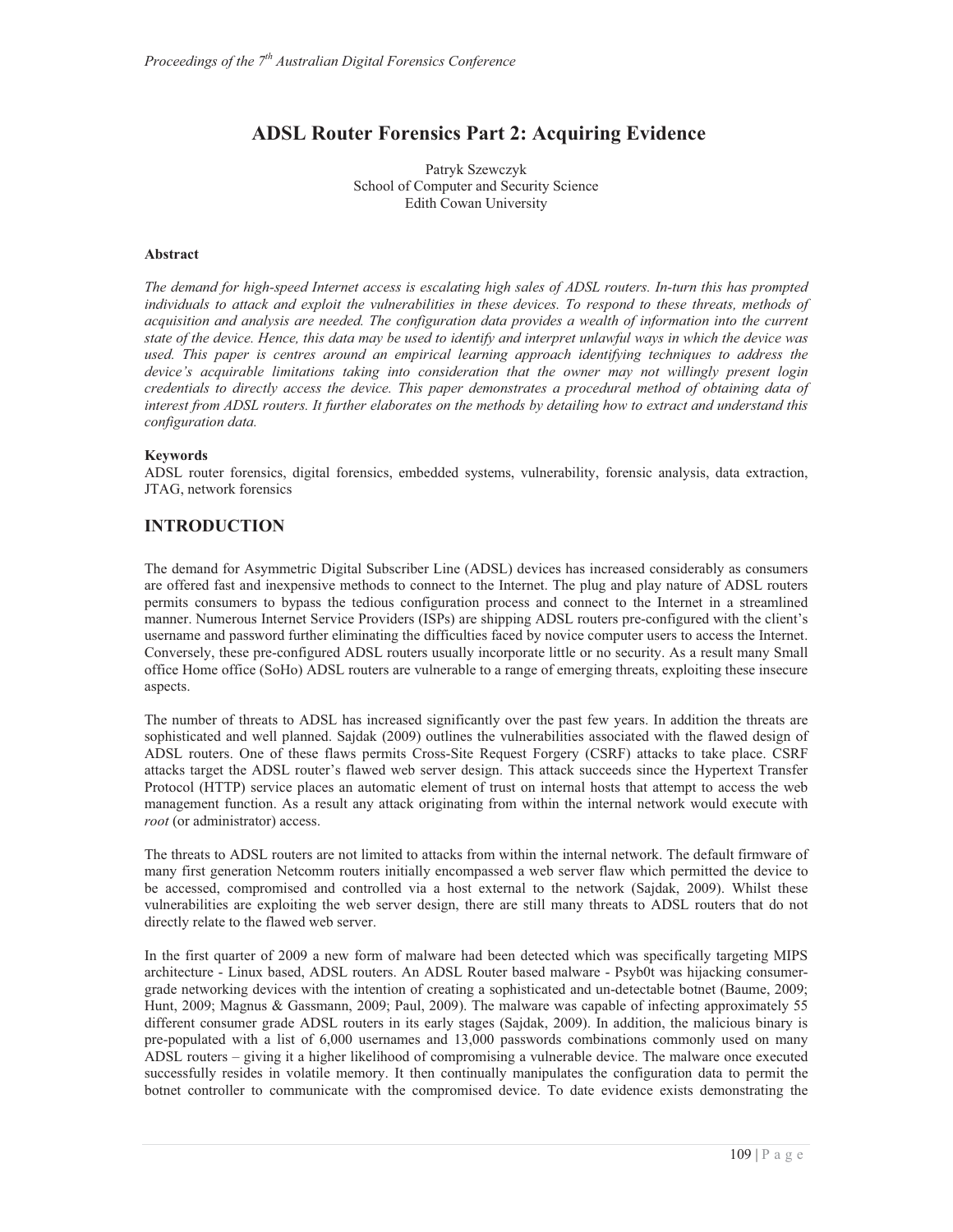# **ADSL Router Forensics Part 2: Acquiring Evidence**

Patryk Szewczyk School of Computer and Security Science Edith Cowan University

#### **Abstract**

*The demand for high-speed Internet access is escalating high sales of ADSL routers. In-turn this has prompted individuals to attack and exploit the vulnerabilities in these devices. To respond to these threats, methods of acquisition and analysis are needed. The configuration data provides a wealth of information into the current state of the device. Hence, this data may be used to identify and interpret unlawful ways in which the device was used. This paper is centres around an empirical learning approach identifying techniques to address the device's acquirable limitations taking into consideration that the owner may not willingly present login credentials to directly access the device. This paper demonstrates a procedural method of obtaining data of interest from ADSL routers. It further elaborates on the methods by detailing how to extract and understand this configuration data.* 

#### **Keywords**

ADSL router forensics, digital forensics, embedded systems, vulnerability, forensic analysis, data extraction, JTAG, network forensics

## **INTRODUCTION**

The demand for Asymmetric Digital Subscriber Line (ADSL) devices has increased considerably as consumers are offered fast and inexpensive methods to connect to the Internet. The plug and play nature of ADSL routers permits consumers to bypass the tedious configuration process and connect to the Internet in a streamlined manner. Numerous Internet Service Providers (ISPs) are shipping ADSL routers pre-configured with the client's username and password further eliminating the difficulties faced by novice computer users to access the Internet. Conversely, these pre-configured ADSL routers usually incorporate little or no security. As a result many Small office Home office (SoHo) ADSL routers are vulnerable to a range of emerging threats, exploiting these insecure aspects.

The number of threats to ADSL has increased significantly over the past few years. In addition the threats are sophisticated and well planned. Sajdak (2009) outlines the vulnerabilities associated with the flawed design of ADSL routers. One of these flaws permits Cross-Site Request Forgery (CSRF) attacks to take place. CSRF attacks target the ADSL router's flawed web server design. This attack succeeds since the Hypertext Transfer Protocol (HTTP) service places an automatic element of trust on internal hosts that attempt to access the web management function. As a result any attack originating from within the internal network would execute with *root* (or administrator) access.

The threats to ADSL routers are not limited to attacks from within the internal network. The default firmware of many first generation Netcomm routers initially encompassed a web server flaw which permitted the device to be accessed, compromised and controlled via a host external to the network (Sajdak, 2009). Whilst these vulnerabilities are exploiting the web server design, there are still many threats to ADSL routers that do not directly relate to the flawed web server.

In the first quarter of 2009 a new form of malware had been detected which was specifically targeting MIPS architecture - Linux based, ADSL routers. An ADSL Router based malware - Psyb0t was hijacking consumergrade networking devices with the intention of creating a sophisticated and un-detectable botnet (Baume, 2009; Hunt, 2009; Magnus & Gassmann, 2009; Paul, 2009). The malware was capable of infecting approximately 55 different consumer grade ADSL routers in its early stages (Sajdak, 2009). In addition, the malicious binary is pre-populated with a list of 6,000 usernames and 13,000 passwords combinations commonly used on many ADSL routers – giving it a higher likelihood of compromising a vulnerable device. The malware once executed successfully resides in volatile memory. It then continually manipulates the configuration data to permit the botnet controller to communicate with the compromised device. To date evidence exists demonstrating the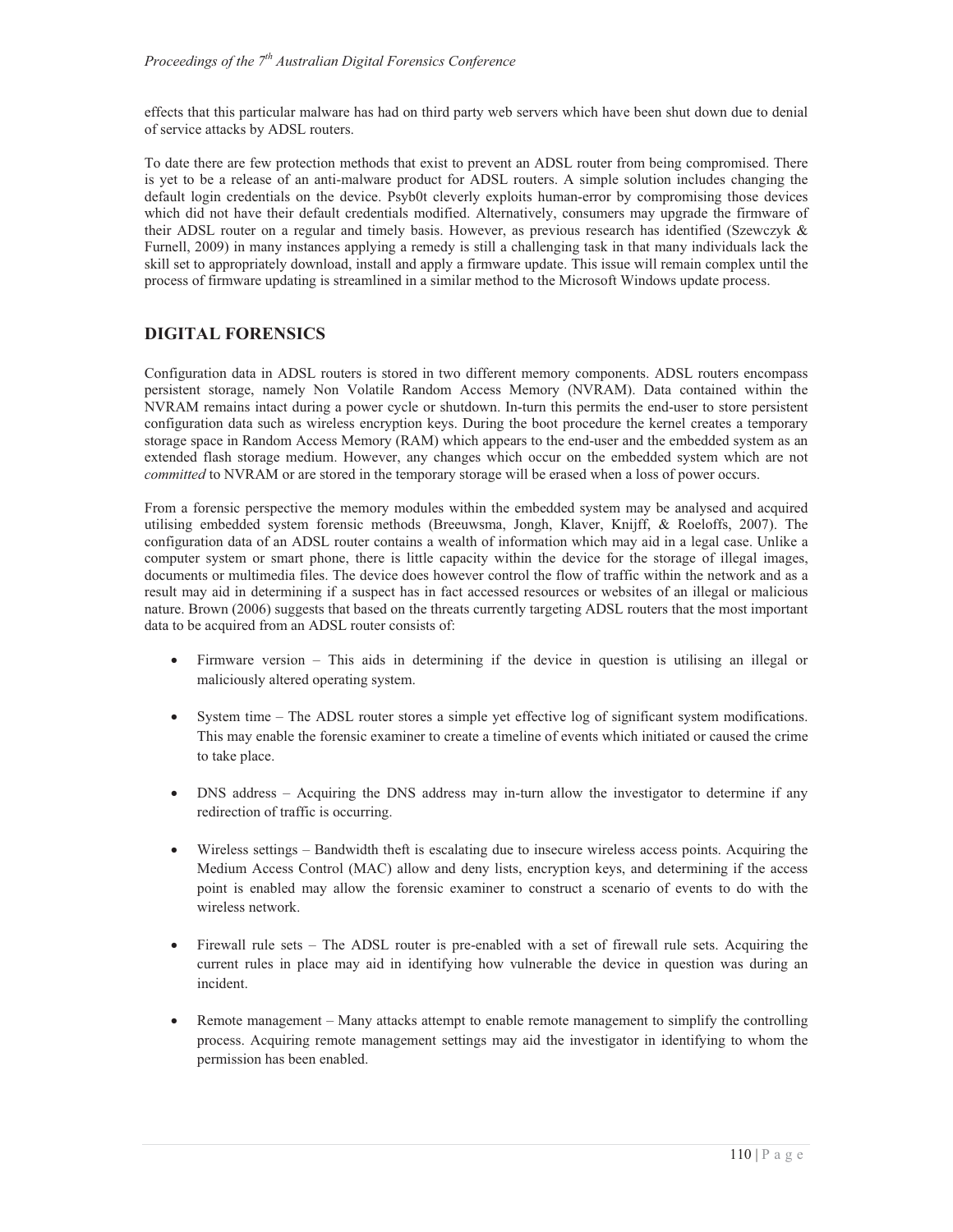effects that this particular malware has had on third party web servers which have been shut down due to denial of service attacks by ADSL routers.

To date there are few protection methods that exist to prevent an ADSL router from being compromised. There is yet to be a release of an anti-malware product for ADSL routers. A simple solution includes changing the default login credentials on the device. Psyb0t cleverly exploits human-error by compromising those devices which did not have their default credentials modified. Alternatively, consumers may upgrade the firmware of their ADSL router on a regular and timely basis. However, as previous research has identified (Szewczyk & Furnell, 2009) in many instances applying a remedy is still a challenging task in that many individuals lack the skill set to appropriately download, install and apply a firmware update. This issue will remain complex until the process of firmware updating is streamlined in a similar method to the Microsoft Windows update process.

# **DIGITAL FORENSICS**

Configuration data in ADSL routers is stored in two different memory components. ADSL routers encompass persistent storage, namely Non Volatile Random Access Memory (NVRAM). Data contained within the NVRAM remains intact during a power cycle or shutdown. In-turn this permits the end-user to store persistent configuration data such as wireless encryption keys. During the boot procedure the kernel creates a temporary storage space in Random Access Memory (RAM) which appears to the end-user and the embedded system as an extended flash storage medium. However, any changes which occur on the embedded system which are not *committed* to NVRAM or are stored in the temporary storage will be erased when a loss of power occurs.

From a forensic perspective the memory modules within the embedded system may be analysed and acquired utilising embedded system forensic methods (Breeuwsma, Jongh, Klaver, Knijff, & Roeloffs, 2007). The configuration data of an ADSL router contains a wealth of information which may aid in a legal case. Unlike a computer system or smart phone, there is little capacity within the device for the storage of illegal images, documents or multimedia files. The device does however control the flow of traffic within the network and as a result may aid in determining if a suspect has in fact accessed resources or websites of an illegal or malicious nature. Brown (2006) suggests that based on the threats currently targeting ADSL routers that the most important data to be acquired from an ADSL router consists of:

- $-$  Firmware version – This aids in determining if the device in question is utilising an illegal or maliciously altered operating system.
- $\bullet$  System time – The ADSL router stores a simple yet effective log of significant system modifications. This may enable the forensic examiner to create a timeline of events which initiated or caused the crime to take place.
- DNS address Acquiring the DNS address may in-turn allow the investigator to determine if any redirection of traffic is occurring.
- $\bullet$  Wireless settings – Bandwidth theft is escalating due to insecure wireless access points. Acquiring the Medium Access Control (MAC) allow and deny lists, encryption keys, and determining if the access point is enabled may allow the forensic examiner to construct a scenario of events to do with the wireless network.
- $\bullet$  Firewall rule sets – The ADSL router is pre-enabled with a set of firewall rule sets. Acquiring the current rules in place may aid in identifying how vulnerable the device in question was during an incident.
- $\bullet$  Remote management – Many attacks attempt to enable remote management to simplify the controlling process. Acquiring remote management settings may aid the investigator in identifying to whom the permission has been enabled.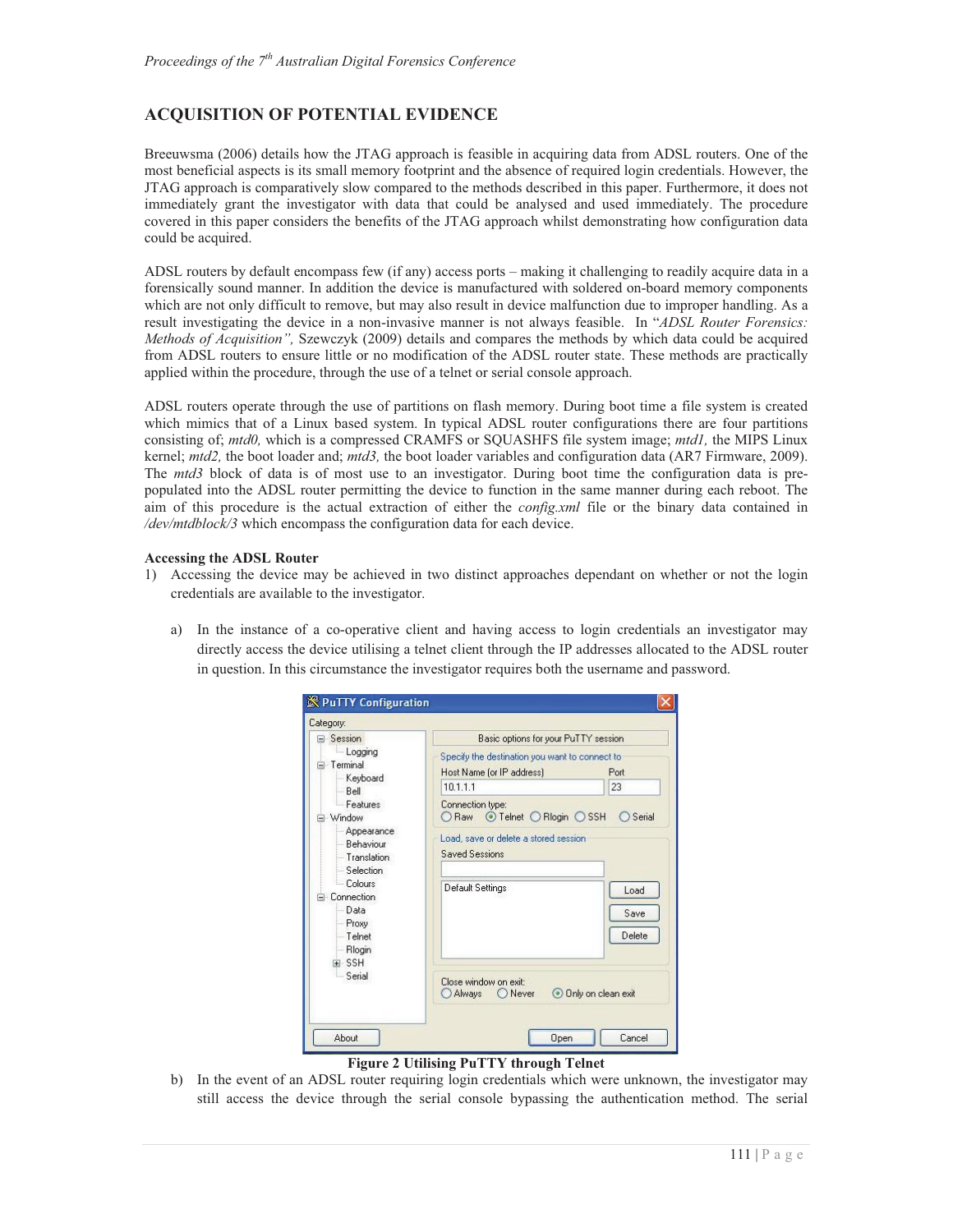# **ACQUISITION OF POTENTIAL EVIDENCE**

Breeuwsma (2006) details how the JTAG approach is feasible in acquiring data from ADSL routers. One of the most beneficial aspects is its small memory footprint and the absence of required login credentials. However, the JTAG approach is comparatively slow compared to the methods described in this paper. Furthermore, it does not immediately grant the investigator with data that could be analysed and used immediately. The procedure covered in this paper considers the benefits of the JTAG approach whilst demonstrating how configuration data could be acquired.

ADSL routers by default encompass few (if any) access ports – making it challenging to readily acquire data in a forensically sound manner. In addition the device is manufactured with soldered on-board memory components which are not only difficult to remove, but may also result in device malfunction due to improper handling. As a result investigating the device in a non-invasive manner is not always feasible. In "*ADSL Router Forensics: Methods of Acquisition",* Szewczyk (2009) details and compares the methods by which data could be acquired from ADSL routers to ensure little or no modification of the ADSL router state. These methods are practically applied within the procedure, through the use of a telnet or serial console approach.

ADSL routers operate through the use of partitions on flash memory. During boot time a file system is created which mimics that of a Linux based system. In typical ADSL router configurations there are four partitions consisting of; *mtd0,* which is a compressed CRAMFS or SQUASHFS file system image; *mtd1,* the MIPS Linux kernel; *mtd2,* the boot loader and; *mtd3,* the boot loader variables and configuration data (AR7 Firmware, 2009). The *mtd3* block of data is of most use to an investigator. During boot time the configuration data is prepopulated into the ADSL router permitting the device to function in the same manner during each reboot. The aim of this procedure is the actual extraction of either the *config.xml* file or the binary data contained in */dev/mtdblock/3* which encompass the configuration data for each device.

#### **Accessing the ADSL Router**

- 1) Accessing the device may be achieved in two distinct approaches dependant on whether or not the login credentials are available to the investigator.
	- a) In the instance of a co-operative client and having access to login credentials an investigator may directly access the device utilising a telnet client through the IP addresses allocated to the ADSL router in question. In this circumstance the investigator requires both the username and password.



### **Figure 2 Utilising PuTTY through Telnet**

b) In the event of an ADSL router requiring login credentials which were unknown, the investigator may still access the device through the serial console bypassing the authentication method. The serial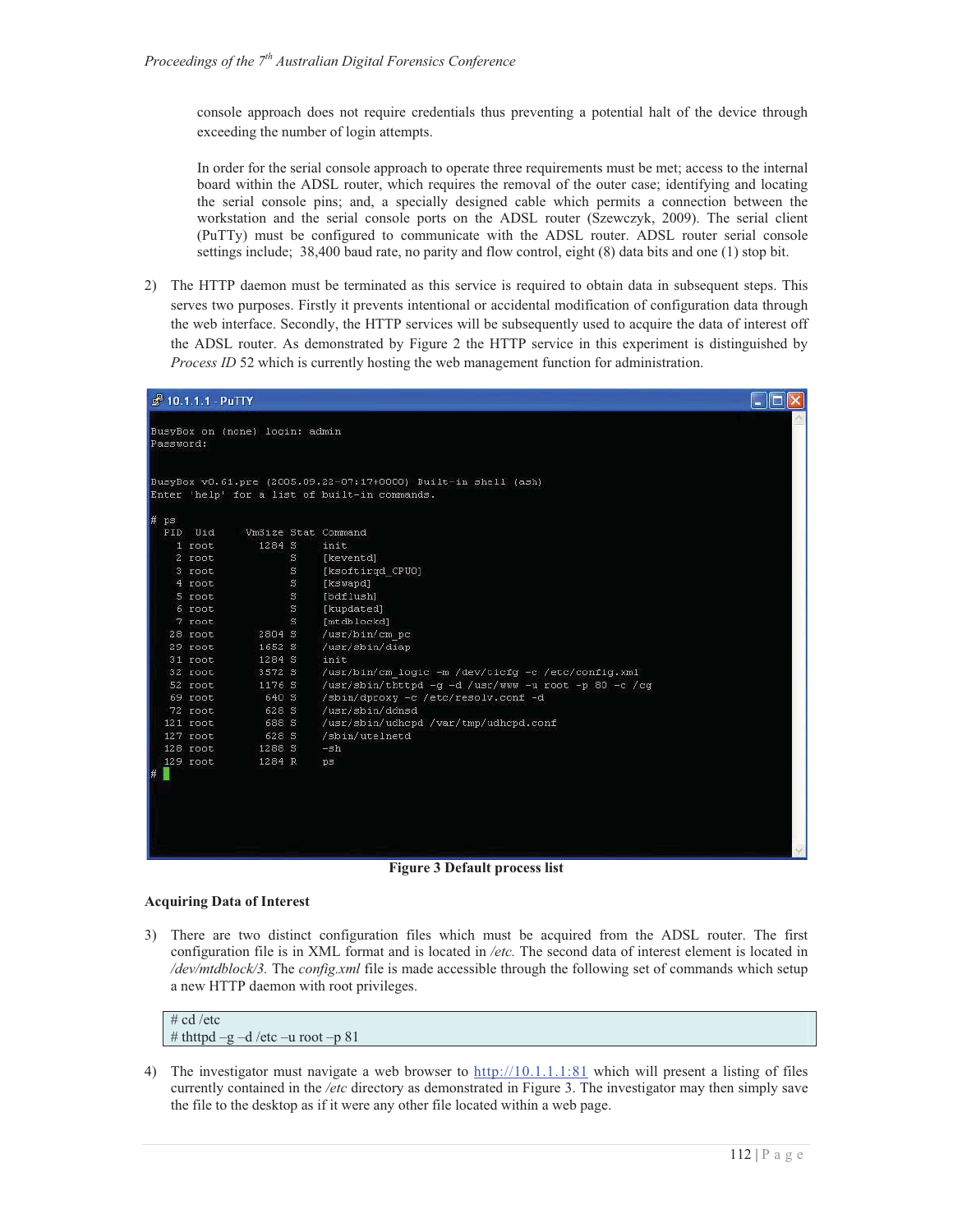console approach does not require credentials thus preventing a potential halt of the device through exceeding the number of login attempts.

In order for the serial console approach to operate three requirements must be met; access to the internal board within the ADSL router, which requires the removal of the outer case; identifying and locating the serial console pins; and, a specially designed cable which permits a connection between the workstation and the serial console ports on the ADSL router (Szewczyk, 2009). The serial client (PuTTy) must be configured to communicate with the ADSL router. ADSL router serial console settings include; 38,400 baud rate, no parity and flow control, eight (8) data bits and one (1) stop bit.

2) The HTTP daemon must be terminated as this service is required to obtain data in subsequent steps. This serves two purposes. Firstly it prevents intentional or accidental modification of configuration data through the web interface. Secondly, the HTTP services will be subsequently used to acquire the data of interest off the ADSL router. As demonstrated by Figure 2 the HTTP service in this experiment is distinguished by *Process ID* 52 which is currently hosting the web management function for administration.

|                     | $4$ 10.1.1.1 - PuTTY                                                                                             |                                                                                              |                               |                                                                                                                                                                                                                                                                                           |  |
|---------------------|------------------------------------------------------------------------------------------------------------------|----------------------------------------------------------------------------------------------|-------------------------------|-------------------------------------------------------------------------------------------------------------------------------------------------------------------------------------------------------------------------------------------------------------------------------------------|--|
| Password:           |                                                                                                                  | BusyBox on (none) login: admin                                                               |                               | BusyBox v0.61.pre (2005.09.22-07:17+0000) Built-in shell (ash)<br>Enter 'help' for a list of built-in commands.                                                                                                                                                                           |  |
| Ħ<br>$p$ $s$<br>PID | Uid<br>$1$ root<br>2 root<br>3 root<br>4 root<br>5 root<br>6 root<br>7 root<br>28 root                           | VmSize Stat Command<br>1284 S<br>2804 S                                                      | S<br>S.<br>S.<br>S<br>S<br>S. | init<br>[keventd]<br>[ksoftirgd CPUO]<br>[kswapd]<br>[bdflush]<br>[kupdated]<br>[mtdblockd]<br>/usr/bin/cm pc                                                                                                                                                                             |  |
|                     | 29 root<br>31 root<br>32 root<br>52 root<br>69 root<br>72 root<br>121 root<br>127 root<br>128 root<br>$129$ root | 1652 S<br>1284 S<br>3572 S<br>1176 S<br>640 S<br>628 S<br>688 S<br>628 S<br>1288 S<br>1284 R |                               | /usr/sbin/diap<br>init<br>/usr/bin/cm logic -m /dev/ticfg -c /etc/config.xml<br>/usr/sbin/thttpd -q -d /usr/www -u root -p 80 -c /cq<br>/sbin/dproxy -c /etc/resolv.conf -d<br>/usr/sbin/ddnsd<br>/usr/sbin/udhcpd /var/tmp/udhcpd.conf<br>/sbin/utelnetd<br>$-\sin$<br>$p_{\mathcal{B}}$ |  |
| ₩                   |                                                                                                                  |                                                                                              |                               |                                                                                                                                                                                                                                                                                           |  |

**Figure 3 Default process list** 

#### **Acquiring Data of Interest**

3) There are two distinct configuration files which must be acquired from the ADSL router. The first configuration file is in XML format and is located in */etc.* The second data of interest element is located in */dev/mtdblock/3.* The *config.xml* file is made accessible through the following set of commands which setup a new HTTP daemon with root privileges.

 $# cd/etc$ # thttpd –g –d /etc –u root –p 81

4) The investigator must navigate a web browser to http://10.1.1.1:81 which will present a listing of files currently contained in the */etc* directory as demonstrated in Figure 3. The investigator may then simply save the file to the desktop as if it were any other file located within a web page.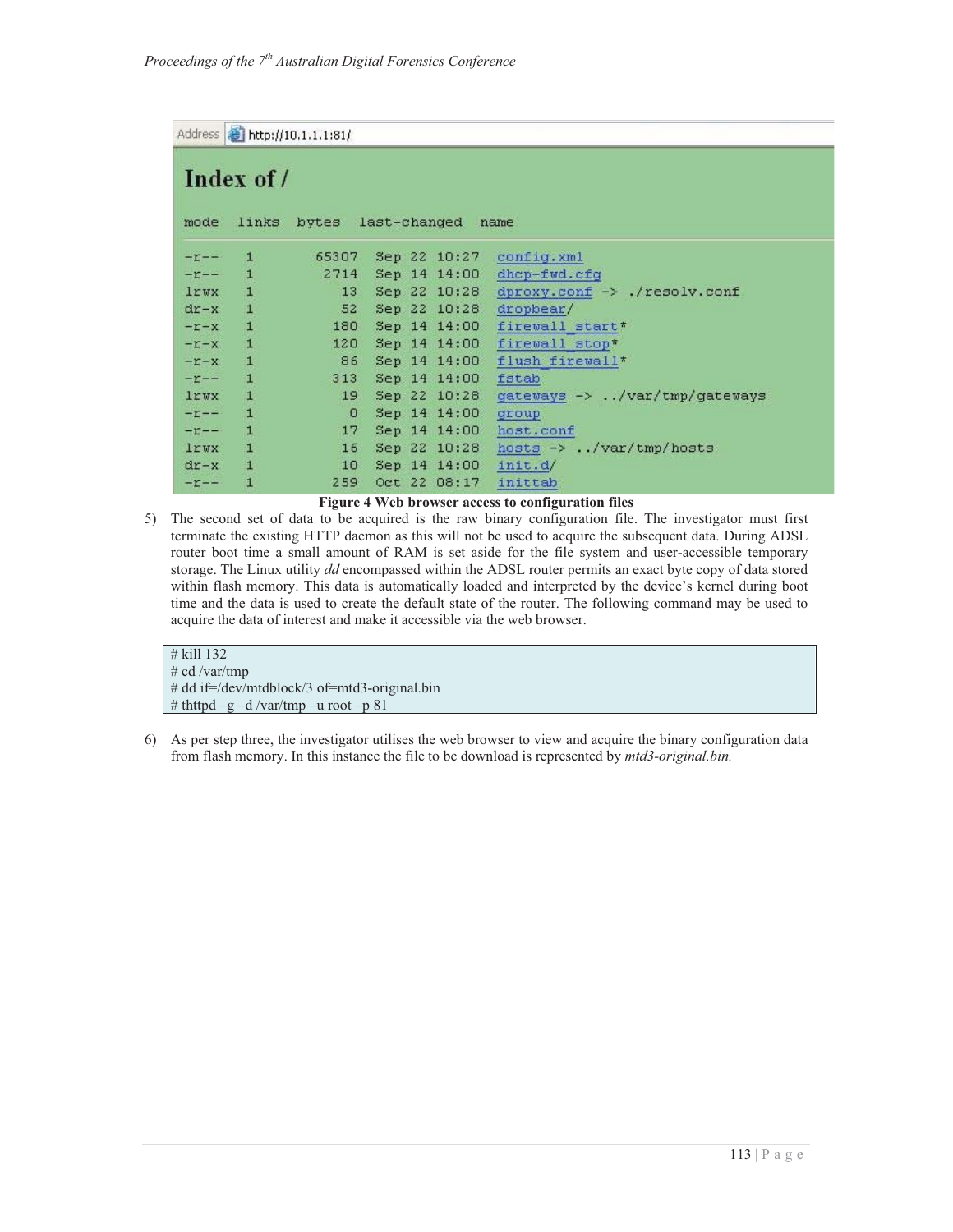```
Address http://10.1.1.1:81/
```

|                    | Index of /   |                 |                         |                                                       |
|--------------------|--------------|-----------------|-------------------------|-------------------------------------------------------|
| mode               | links        |                 | bytes last-changed name |                                                       |
| $-T$ $-$           | л            |                 |                         | 65307 Sep 22 10:27 config.xml                         |
| $-r$ - $-$         | $\mathbf{1}$ | 2714            |                         | Sep 14 14:00 dhcp-fwd.cfg                             |
| lrwx               | $\mathbf{1}$ | 13              |                         | Sep 22 10:28 dproxy.conf $\rightarrow$ ./resolv.conf  |
| $dr-x$ 1           |              | 52              |                         | $Sep 22 10:28$ dropbear/                              |
| $-T-X$             | $\mathbf{1}$ | 180             |                         | Sep 14 14:00 firewall start*                          |
| $-x-x$             | $\mathbf{1}$ | 120             |                         | Sep 14 14:00 firewall stop*                           |
| $-x-x$             | $\mathbf{1}$ | 86.             |                         | Sep 14 14:00 flush firewall*                          |
| $-r$ - $-$         | $\mathbf{1}$ |                 | 313 Sep 14 14:00 fstab  |                                                       |
| lrwx               | $\mathbf{1}$ | 19 <sup>°</sup> |                         | Sep 22 10:28 gateways $\rightarrow$ /var/tmp/gateways |
| $-r$ --            | $\mathbf{1}$ | $\Omega$        | Sep 14 14:00            | group                                                 |
| $-r$ - $-$         | $\mathbf{1}$ | 17              |                         | Sep 14 14:00 host.conf                                |
| <b>lrwx</b>        | $\mathbf{1}$ | 16.             |                         | Sep 22 10:28 hosts $\rightarrow$ /var/tmp/hosts       |
| $dr - x$           | $\mathbf{1}$ | 10 <sup>1</sup> | Sep 14 14:00 init.d/    |                                                       |
| $-1$ <sup>--</sup> | 1            | 259             | Oct 22 08:17            | inittab                                               |

#### **Figure 4 Web browser access to configuration files**

5) The second set of data to be acquired is the raw binary configuration file. The investigator must first terminate the existing HTTP daemon as this will not be used to acquire the subsequent data. During ADSL router boot time a small amount of RAM is set aside for the file system and user-accessible temporary storage. The Linux utility *dd* encompassed within the ADSL router permits an exact byte copy of data stored within flash memory. This data is automatically loaded and interpreted by the device's kernel during boot time and the data is used to create the default state of the router. The following command may be used to acquire the data of interest and make it accessible via the web browser.

```
# kill 132 
# cd /var/tmp 
# dd if=/dev/mtdblock/3 of=mtd3-original.bin 
# thttpd –g –d /var/tmp –u root –p 81
```
6) As per step three, the investigator utilises the web browser to view and acquire the binary configuration data from flash memory. In this instance the file to be download is represented by *mtd3-original.bin.*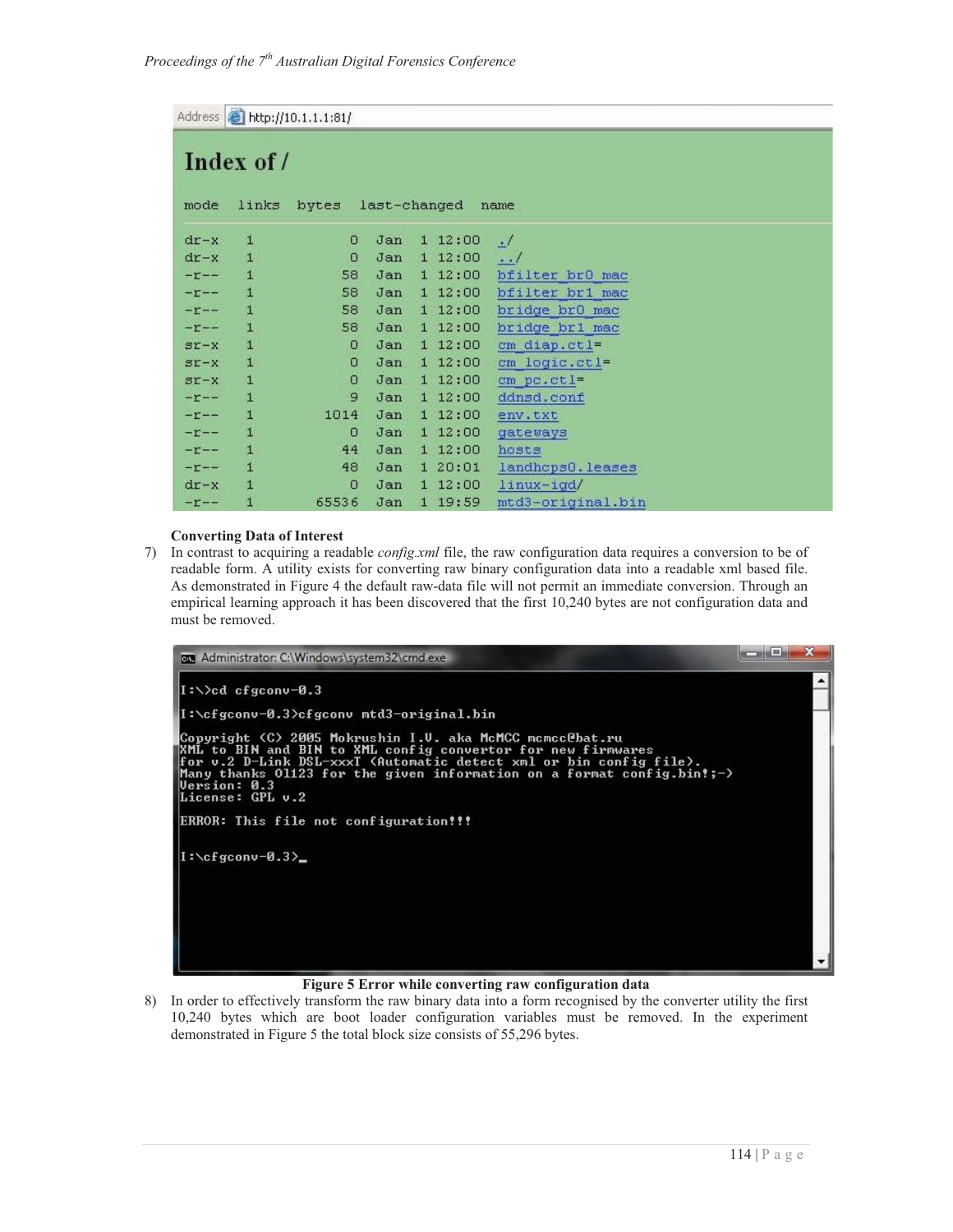|                  |                     | Address <b>b</b> http://10.1.1.1:81/ |              |         |                     |
|------------------|---------------------|--------------------------------------|--------------|---------|---------------------|
| mode             | Index of /<br>links | bytes                                | last-changed |         | name                |
| $dr - x$         | $\mathbf{1}$        | $\Omega$                             | Jan          | 112:00  | $\cdot$             |
| $dr - x$         | $\mathbf{1}$        | 0                                    | Jan          | 112:00  | $\cdot \cdot \cdot$ |
| $-\mathbf{r}$ -- | $\mathbf{1}$        | 58                                   | Jan          | 112:00  | bfilter br0 mac     |
| $-r$ --          | $\mathbf{1}$        | 58                                   | Jan          | 112:00  | bfilter br1 mac     |
| $-\mathbf{r}$ -- | $\mathbf{1}$        | 58                                   | Jan          | 112:00  | bridge br0 mac      |
| $-\mathbf{r}$ -- | $\mathbf{1}$        | 58                                   | Jan          | 112:00  | bridge br1 mac      |
| $ST-X$           | $\mathbf{1}$        | $\circ$                              | Jan          | 112:00  | $cm$ diap.ctl=      |
| $ST-X$           | $\mathbf{1}$        | 0                                    | Jan          | 112:00  | cm logic.ctl=       |
| $ST-X$           | $\mathbf{1}$        | $\circ$                              | Jan          | 112:00  | cm pc.ctl=          |
| $-r$ --          | $\mathbf{1}$        | 9                                    | Jan          | 112:00  | ddnsd.conf          |
| $-r$ - -         | $\mathbf{1}$        | 1014                                 | Jan          | 112:00  | env.txt             |
| $-r$ --          | $\mathbf{1}$        | $\circ$                              | Jan          | 112:00  | gateways            |
| $-\mathbf{r}$ -- | $\mathbf{1}$        | 44                                   | Jan          | 1 12:00 | hosts               |
| $-r$ --          | Ŧ.                  | 48                                   | Jan          | 120:01  | landhcps0.leases    |
| $dr - x$         | Ŧ.                  | $\Omega$                             | Jan          | 112:00  | linux-igd/          |
| $-r$ --          | 1                   | 65536                                | Jan          | 1 19:59 | mtd3-original.bin   |

#### **Converting Data of Interest**

7) In contrast to acquiring a readable *config.xml* file, the raw configuration data requires a conversion to be of readable form. A utility exists for converting raw binary configuration data into a readable xml based file. As demonstrated in Figure 4 the default raw-data file will not permit an immediate conversion. Through an empirical learning approach it has been discovered that the first 10,240 bytes are not configuration data and must be removed.



#### **Figure 5 Error while converting raw configuration data**

8) In order to effectively transform the raw binary data into a form recognised by the converter utility the first 10,240 bytes which are boot loader configuration variables must be removed. In the experiment demonstrated in Figure 5 the total block size consists of 55,296 bytes.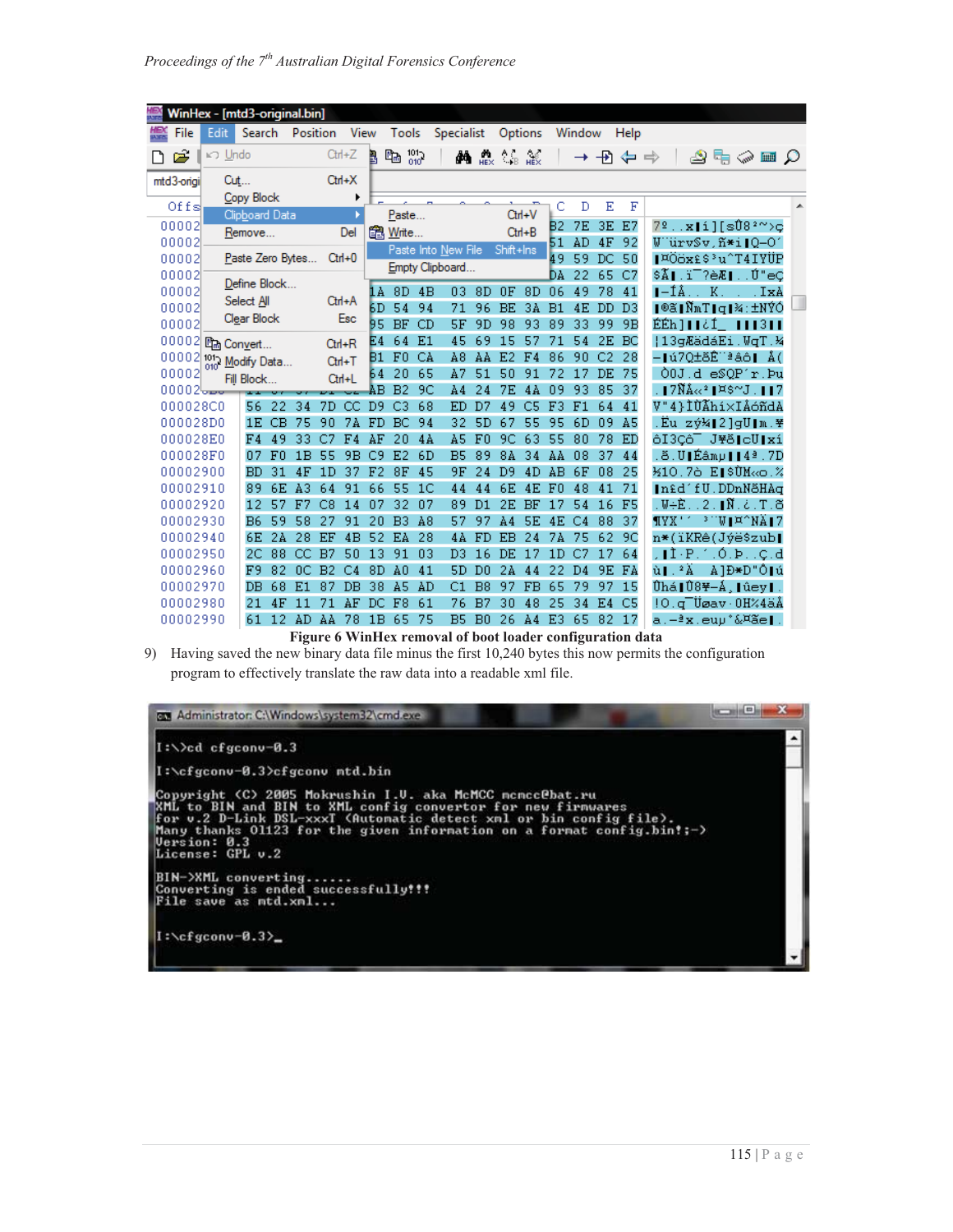|                                 | WinHex - [mtd3-original.bin] |                  |    |                |                |                |                |                |                |                     |                |                         |           |                 |                |                |                |         |                                                              |                                   |  |
|---------------------------------|------------------------------|------------------|----|----------------|----------------|----------------|----------------|----------------|----------------|---------------------|----------------|-------------------------|-----------|-----------------|----------------|----------------|----------------|---------|--------------------------------------------------------------|-----------------------------------|--|
| File                            | Edit                         | Search           |    | Position       |                | <b>View</b>    |                | Tools          |                | Specialist          |                |                         | Options   |                 | Window         |                | Help           |         |                                                              |                                   |  |
| B                               | <b>⊮</b> Undo                |                  |    |                |                | $Cth+Z$        | Ŀ,             | Pm 33          |                | đ4.                 |                | $HEX \rightarrow B HEX$ |           |                 |                | → Đ ⇔ ⇒        |                |         |                                                              | ٩₽۵⊞٥                             |  |
| mtd3-origi                      | Cut                          |                  |    |                |                | $Cth+X$        |                |                |                |                     |                |                         |           |                 |                |                |                |         |                                                              |                                   |  |
| Offs                            |                              | Copy Block       |    |                |                |                |                |                |                |                     |                |                         |           | C               | D              | Ε              | F              |         |                                                              |                                   |  |
|                                 |                              | Clipboard Data   |    |                |                |                |                | Paste          |                |                     |                |                         | Ctrl+V    |                 |                |                |                |         |                                                              |                                   |  |
| 00002<br>00002                  | Remove                       |                  |    |                | Del            |                | a Write        |                |                |                     |                | $C$ trl+B               | B2.<br>51 | <b>7E</b><br>AD | 3E<br>4F       | E7<br>92       |                |         | $7°$ $\mathbf{x}$  i][sÙ8° $^{\circ}$ >c<br>WWirvSv.ñ*i10-01 |                                   |  |
| 00002                           |                              | Paste Zero Bytes |    |                |                | $Cth+0$        |                |                |                | Paste Into New File |                | Shift+Ins               |           | 49              | 59             | DC             | 50             |         |                                                              | PÖöx£\$'u^T4IYÜP                  |  |
| 00002                           |                              |                  |    |                |                |                |                |                |                | Empty Clipboard     |                |                         |           | DA              | 22             | 65             | C7             |         |                                                              | \$Ã∥.ï¯?èÆ∥Ŭ"eC                   |  |
| 00002                           |                              | Define Block     |    |                |                |                | 1A             | 8D             | 4B             | 03                  | 8D             | 0F                      | 8D        | 06              | 49             | 78             | 41             |         |                                                              | $I - I$ Â $\ldots$ K $\ldots$ IxA |  |
| 00002                           |                              | Select All       |    |                |                | Ctrl+A         | БD             | 54             | 94             | 71                  | 96             | BE                      | 3Å        | B1              | 4E             | DD             | D <sub>3</sub> |         |                                                              | ∣®ã∣ÑmT∣q∣¾∶±NÝÓ                  |  |
| 00002                           |                              | Clear Block      |    |                | Esc            |                |                | BF             | CD             | <b>5F</b>           | 9D             | 98                      | 93        | 89              | 33             | 99             | 9B             |         |                                                              | ÉÉh]  ¿Í_    3                    |  |
| 00002 mg Convert                |                              |                  |    |                |                | $Cth + R$      | 95<br>E4       | 64             | E1             | 45                  | 69             | 15                      | 57        | 71              | 54             | 2E             | BC             |         |                                                              | H3qÆädáEi.WqT.W                   |  |
|                                 |                              |                  |    |                |                | $Cth+T$        | Β1             | F0             | CA             | A8                  | ΑA             | E <sub>2</sub>          | FA        | 86              | 90             | C <sub>2</sub> | 28             |         |                                                              | –∎ú7O±ðÊ∵ªáô∎ Å(                  |  |
| 00002 1010 Modify Data<br>00002 |                              | Fill Block       |    |                |                | Ctrl+L         | 64.            | 20             | 65             | A7                  | 51             | 50                      | 91        | 72              | 17             | DE             | 75             |         |                                                              | 00J.d es0P'r.bu                   |  |
| 00002                           |                              |                  |    |                |                |                | AВ             | B <sub>2</sub> | 9C             | AA                  | 24             | <b>7E</b>               | 4A        | 09              | 93             | 85             | 37             |         |                                                              | .∎7Ñå≪≟∎¤\$~J.∎∎7                 |  |
| 000028C0                        |                              | 56               | 22 | 34             | 7D.            | CС             | D <sub>9</sub> | C <sub>3</sub> | 68             | ED                  | D7             | 49                      | C5        | F3              | F1             | 64             | 41             |         |                                                              | V"4}ÌÙÃhí×IÅóñdA                  |  |
| 000028D0                        |                              | 1E               | CВ | 75             | 90             | 7A             | FD             | BC             | 94             | 32                  | 5D             | 67                      | 55        | 95              | 6D             | 09             | A5             |         |                                                              | .Ëu zý¼∥2]qU∥m.¥                  |  |
| 000028E0                        |                              | F4               | 49 | 33             | C <sub>7</sub> | F <sub>4</sub> | AF             | 20             | 4A             | A5                  | F0             | 9C                      | 63        | 55              | 80             | 78             | ED             |         |                                                              | ôI3Cô <sup>-</sup> J\õIcU xí      |  |
| 000028F0                        |                              | 07               | F0 | 1B             | 55             | 9 <b>B</b>     | C9             | E <sub>2</sub> | 6D             | B5                  | 89             | 8A                      | 34        | AA              | 08             | 37             | 44             |         |                                                              | .õ.U∥Éâmµ∥∥4ª.7D                  |  |
| 00002900                        |                              | <b>BD</b>        | 31 | 4F             | 1D             | 37             | F <sub>2</sub> | 8F             | 45             | 9F                  | 24             | D <sub>9</sub>          | 4D        | AB.             | 6F             | 08             | 25             |         |                                                              | ½10.7ò E∥\$ÙM≪o.%                 |  |
| 00002910                        |                              | 89               | 6E | A3             | 64             | 91             | 66             | 55             | 1 <sup>C</sup> | 44                  | 44             | 6E                      | 4E        | F0              | 48             | 41             | 71             |         |                                                              | In£d'fU.DDnNöHAg                  |  |
| 00002920                        |                              | 12               | 57 | F7             | C8             | 14             | 07             | 32             | 07             | 89                  | D <sub>1</sub> | 2E                      | BF        | 17              | 54             | 16             | F5             |         |                                                              | .W÷È2.∎Ñ.¿.T.õ                    |  |
| 00002930                        |                              | <b>B6</b>        | 59 | 58             | 27             | 91             | 20             | B3             | A8             | 57                  | 97             | AA                      | <b>5E</b> | 4E              | C <sub>4</sub> | 88             | 37             |         |                                                              | ¶YX'´ <sup>3</sup> 'W∣¤^NÄ∣7      |  |
| 00002940                        |                              | 6E               | 2A | 28             | EF             | 4B             | 52             | EA             | 28             | 4A                  | FD             | EB                      | 24        | 7Å              | 75             | 62             | 9C             |         |                                                              | n*(ïKRê(Jýë\$zub∥                 |  |
| 00002950                        |                              | 2C               | 88 | CC.            | B7             | 50             | 13             | 91             | 03             | D3                  | 16             | DE.                     | 17        | 1D              | C <sub>2</sub> | 17             | 64             |         |                                                              | ,∥Ì-P.1.Ó.Þç.d                    |  |
| 00002960                        |                              | F9               | 82 | 0 <sup>C</sup> | B <sub>2</sub> | C <sub>4</sub> | 8D             | A <sub>0</sub> | 41             | 5D                  | D <sub>0</sub> | 2A                      | 44        | 22              | D <sub>4</sub> | 9E             | FA             | ù∎. ≟Ä. |                                                              | A]Đ*D"Ô∥ú                         |  |
| 00002970                        |                              | DB               | 68 | E1             | 87             | DB             | 38             | A5             | AD             | C1                  | B <sub>8</sub> | 97                      | <b>FB</b> | 65              | 79             | 97             | 15             |         |                                                              | Ûhá∥Û8\-Á,∥ûey∥.                  |  |
| 00002980                        |                              | 21               | 4F | 11             | 71             | AF             | DC.            | F8             | 61             | 76                  | B7             | 30                      | 48        | 25              | 34             | E4             | C5             |         |                                                              | !O.q <sup>-</sup> Üøav·OH%4äÅ     |  |
| 00002990                        |                              | 61               |    | 12 AD          | AA             | 78             | 1B             | 65             | 75             | B5                  | B <sub>0</sub> | 26                      |           | A4 E3           | 65             | 82             | $-17$          |         |                                                              | a.—ªx.eup°&¤ãe∥.                  |  |

*Proceedings of the 7th Australian Digital Forensics Conference* 

**Figure 6 WinHex removal of boot loader configuration data** 

9) Having saved the new binary data file minus the first 10,240 bytes this now permits the configuration program to effectively translate the raw data into a readable xml file.

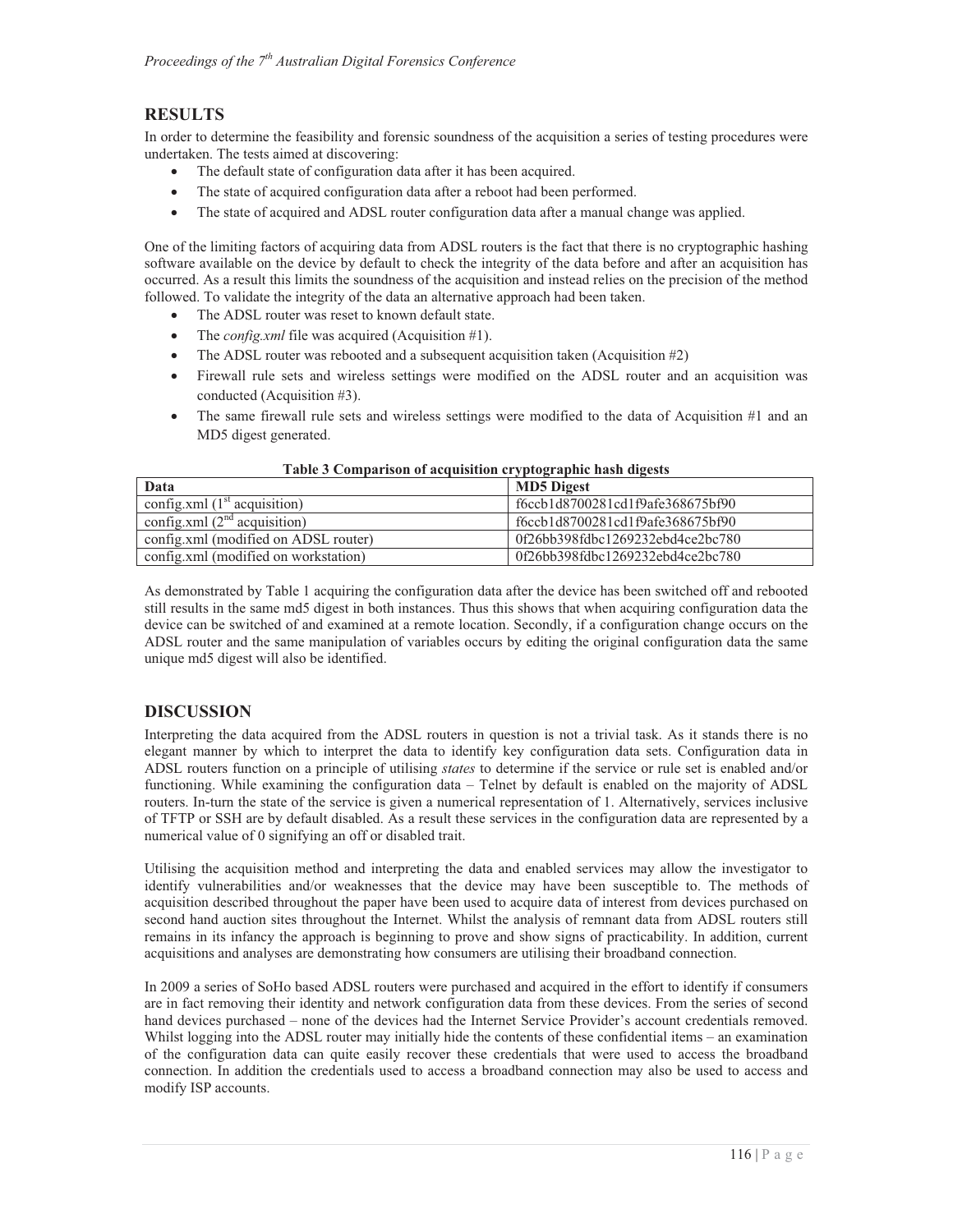# **RESULTS**

In order to determine the feasibility and forensic soundness of the acquisition a series of testing procedures were undertaken. The tests aimed at discovering:

- -The default state of configuration data after it has been acquired.
- $\bullet$ The state of acquired configuration data after a reboot had been performed.
- $\bullet$ The state of acquired and ADSL router configuration data after a manual change was applied.

One of the limiting factors of acquiring data from ADSL routers is the fact that there is no cryptographic hashing software available on the device by default to check the integrity of the data before and after an acquisition has occurred. As a result this limits the soundness of the acquisition and instead relies on the precision of the method followed. To validate the integrity of the data an alternative approach had been taken.

- $\bullet$ The ADSL router was reset to known default state.
- $\bullet$ The *config.xml* file was acquired (Acquisition #1).
- $\bullet$ The ADSL router was rebooted and a subsequent acquisition taken (Acquisition #2)
- - Firewall rule sets and wireless settings were modified on the ADSL router and an acquisition was conducted (Acquisition #3).
- $-$  The same firewall rule sets and wireless settings were modified to the data of Acquisition #1 and an MD5 digest generated.

| Data                                 | <b>MD5</b> Digest                |
|--------------------------------------|----------------------------------|
| config.xml $(1st$ acquisition)       | f6ccb1d8700281cd1f9afe368675bf90 |
| config.xml $(2^{nd}$ acquisition)    | f6ccb1d8700281cd1f9afe368675bf90 |
| config.xml (modified on ADSL router) | 0f26bb398fdbc1269232ebd4ce2bc780 |
| config.xml (modified on workstation) | 0f26bb398fdbc1269232ebd4ce2bc780 |

#### **Table 3 Comparison of acquisition cryptographic hash digests**

As demonstrated by Table 1 acquiring the configuration data after the device has been switched off and rebooted still results in the same md5 digest in both instances. Thus this shows that when acquiring configuration data the device can be switched of and examined at a remote location. Secondly, if a configuration change occurs on the ADSL router and the same manipulation of variables occurs by editing the original configuration data the same unique md5 digest will also be identified.

# **DISCUSSION**

Interpreting the data acquired from the ADSL routers in question is not a trivial task. As it stands there is no elegant manner by which to interpret the data to identify key configuration data sets. Configuration data in ADSL routers function on a principle of utilising *states* to determine if the service or rule set is enabled and/or functioning. While examining the configuration data – Telnet by default is enabled on the majority of ADSL routers. In-turn the state of the service is given a numerical representation of 1. Alternatively, services inclusive of TFTP or SSH are by default disabled. As a result these services in the configuration data are represented by a numerical value of 0 signifying an off or disabled trait.

Utilising the acquisition method and interpreting the data and enabled services may allow the investigator to identify vulnerabilities and/or weaknesses that the device may have been susceptible to. The methods of acquisition described throughout the paper have been used to acquire data of interest from devices purchased on second hand auction sites throughout the Internet. Whilst the analysis of remnant data from ADSL routers still remains in its infancy the approach is beginning to prove and show signs of practicability. In addition, current acquisitions and analyses are demonstrating how consumers are utilising their broadband connection.

In 2009 a series of SoHo based ADSL routers were purchased and acquired in the effort to identify if consumers are in fact removing their identity and network configuration data from these devices. From the series of second hand devices purchased – none of the devices had the Internet Service Provider's account credentials removed. Whilst logging into the ADSL router may initially hide the contents of these confidential items – an examination of the configuration data can quite easily recover these credentials that were used to access the broadband connection. In addition the credentials used to access a broadband connection may also be used to access and modify ISP accounts.